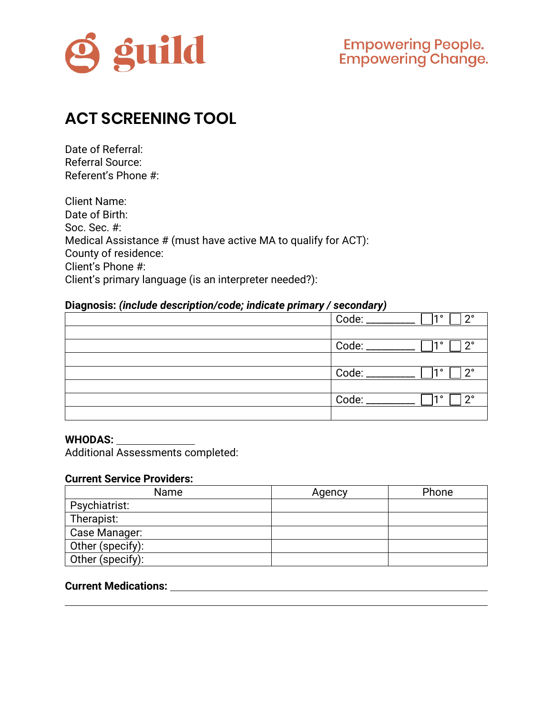

# **ACT SCREENING TOOL**

Date of Referral: Referral Source: Referent's Phone #:

| <b>Client Name:</b>                                            |
|----------------------------------------------------------------|
| Date of Birth:                                                 |
| Soc. Sec. #:                                                   |
| Medical Assistance # (must have active MA to qualify for ACT): |
| County of residence:                                           |
| Client's Phone #:                                              |
| Client's primary language (is an interpreter needed?):         |

#### **Diagnosis:** *(include description/code; indicate primary / secondary)*

| Code: _<br>-10<br>$2^{\circ}$ |
|-------------------------------|
|                               |
| Code: ________<br>റ∘<br>-10   |
|                               |
| Code: ________<br>າ°<br>10    |
|                               |
| റ∘<br>10                      |
|                               |

#### **WHODAS:**

Additional Assessments completed:

#### **Current Service Providers:**

| Name             | Agency | Phone |
|------------------|--------|-------|
| Psychiatrist:    |        |       |
| Therapist:       |        |       |
| Case Manager:    |        |       |
| Other (specify): |        |       |
| Other (specify): |        |       |

## **Current Medications:**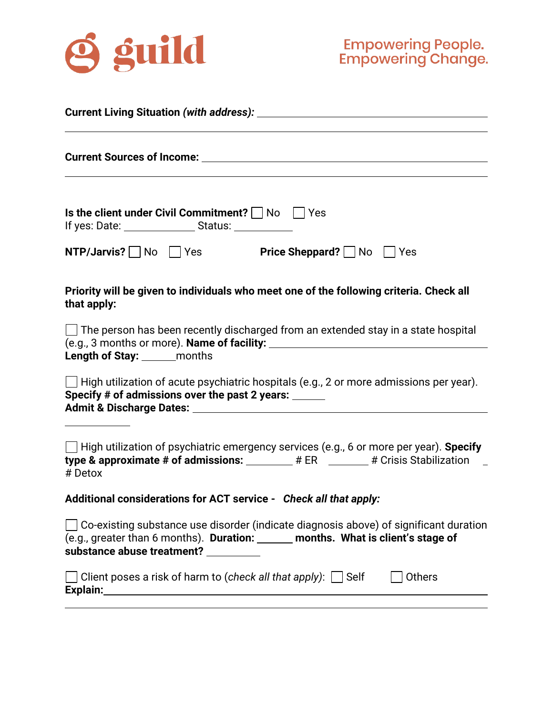

| Is the client under Civil Commitment? $\vert \ \vert$ No $\vert \ \vert$ Yes                                                                                                                                                                                                                                                |  |  |  |
|-----------------------------------------------------------------------------------------------------------------------------------------------------------------------------------------------------------------------------------------------------------------------------------------------------------------------------|--|--|--|
| NTP/Jarvis? No Yes Price Sheppard? No Yes                                                                                                                                                                                                                                                                                   |  |  |  |
| Priority will be given to individuals who meet one of the following criteria. Check all<br>that apply:                                                                                                                                                                                                                      |  |  |  |
| $\Box$ The person has been recently discharged from an extended stay in a state hospital<br><b>Length of Stay:</b> _______ months                                                                                                                                                                                           |  |  |  |
| $\Box$ High utilization of acute psychiatric hospitals (e.g., 2 or more admissions per year).<br>Specify # of admissions over the past 2 years: ______                                                                                                                                                                      |  |  |  |
| $\Box$ High utilization of psychiatric emergency services (e.g., 6 or more per year). Specify<br>type & approximate # of admissions: $\_\_\_\_\$ # ER $\_\_\_\_\$ # Crisis Stabilization $\_\_\_\$<br># Detox                                                                                                               |  |  |  |
| Additional considerations for ACT service - Check all that apply:                                                                                                                                                                                                                                                           |  |  |  |
| $\Box$ Co-existing substance use disorder (indicate diagnosis above) of significant duration<br>(e.g., greater than 6 months). Duration: _____ months. What is client's stage of<br>substance abuse treatment? _________                                                                                                    |  |  |  |
| Client poses a risk of harm to (check all that apply): $\Box$ Self<br><b>Others</b><br>Explain: <u>contract and contract and contract and contract and contract and contract and contract and contract and contract and contract and contract and contract and contract and contract and contract and contract and cont</u> |  |  |  |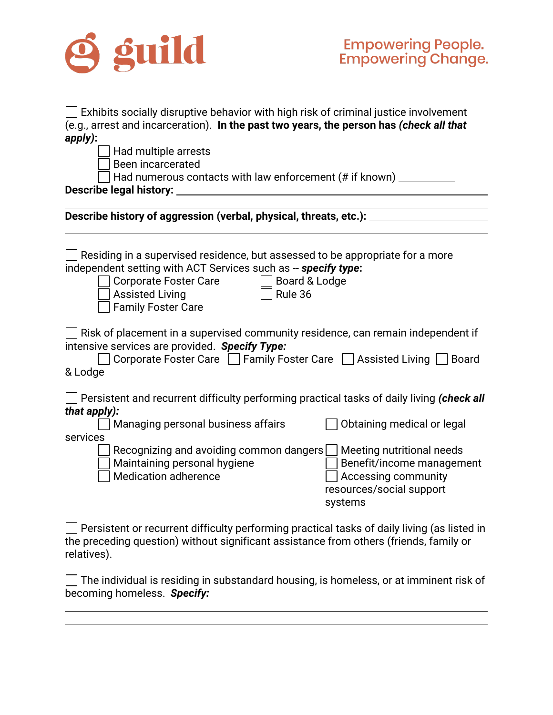

| Exhibits socially disruptive behavior with high risk of criminal justice involvement<br>(e.g., arrest and incarceration). In the past two years, the person has (check all that<br>apply):<br>Had multiple arrests<br>Been incarcerated<br>Had numerous contacts with law enforcement (# if known) __________ |                                                                                                |  |
|---------------------------------------------------------------------------------------------------------------------------------------------------------------------------------------------------------------------------------------------------------------------------------------------------------------|------------------------------------------------------------------------------------------------|--|
|                                                                                                                                                                                                                                                                                                               |                                                                                                |  |
| Describe history of aggression (verbal, physical, threats, etc.): ___                                                                                                                                                                                                                                         |                                                                                                |  |
| Residing in a supervised residence, but assessed to be appropriate for a more<br>independent setting with ACT Services such as -- specify type:<br><b>Corporate Foster Care</b><br>Board & Lodge<br>Rule 36<br><b>Assisted Living</b><br><b>Family Foster Care</b>                                            |                                                                                                |  |
| $\Box$ Risk of placement in a supervised community residence, can remain independent if<br>intensive services are provided. Specify Type:<br>Corporate Foster Care   Family Foster Care   Assisted Living  <br><b>Board</b><br>& Lodge                                                                        |                                                                                                |  |
| $\Box$ Persistent and recurrent difficulty performing practical tasks of daily living (check all<br>that apply):<br>Managing personal business affairs                                                                                                                                                        | Obtaining medical or legal                                                                     |  |
| services                                                                                                                                                                                                                                                                                                      |                                                                                                |  |
| Recognizing and avoiding common dangers   Meeting nutritional needs<br>Maintaining personal hygiene<br><b>Medication adherence</b>                                                                                                                                                                            | Benefit/income management<br><b>Accessing community</b><br>resources/social support<br>systems |  |
| Persistent or recurrent difficulty performing practical tasks of daily living (as listed in<br>the preceding question) without significant assistance from others (friends, family or<br>relatives).                                                                                                          |                                                                                                |  |
| The individual is residing in substandard housing, is homeless, or at imminent risk of<br>becoming homeless. Specify:                                                                                                                                                                                         |                                                                                                |  |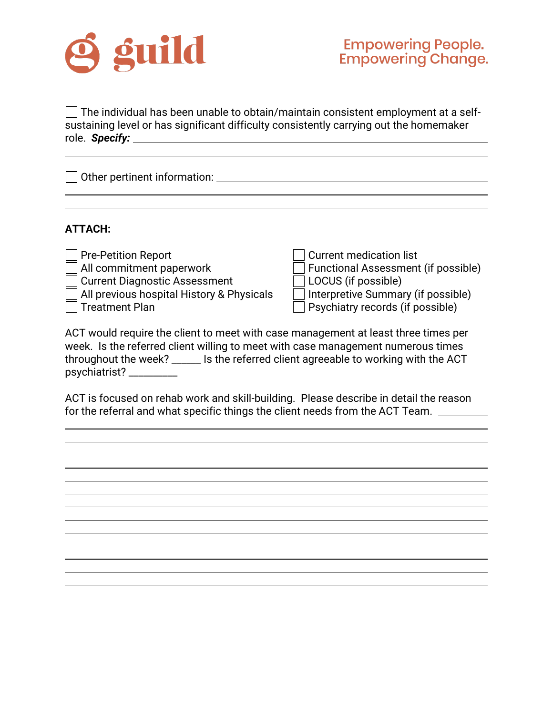

 $\Box$  The individual has been unable to obtain/maintain consistent employment at a selfsustaining level or has significant difficulty consistently carrying out the homemaker role. *Specify:*

| $\Box$ Other pertinent information: |  |
|-------------------------------------|--|
|                                     |  |

#### **ATTACH:**

| Pre-Petition Report                       | Current medication list                   |
|-------------------------------------------|-------------------------------------------|
| All commitment paperwork                  | Functional Assessment (if possible)       |
| <b>Current Diagnostic Assessment</b>      | $\Box$ LOCUS (if possible)                |
| All previous hospital History & Physicals | $\Box$ Interpretive Summary (if possible) |
| <b>Treatment Plan</b>                     | <b>Psychiatry records (if possible)</b>   |

ACT would require the client to meet with case management at least three times per week. Is the referred client willing to meet with case management numerous times throughout the week? \_\_\_\_\_\_ Is the referred client agreeable to working with the ACT psychiatrist? \_\_\_\_\_\_\_\_\_\_

ACT is focused on rehab work and skill-building. Please describe in detail the reason for the referral and what specific things the client needs from the ACT Team.